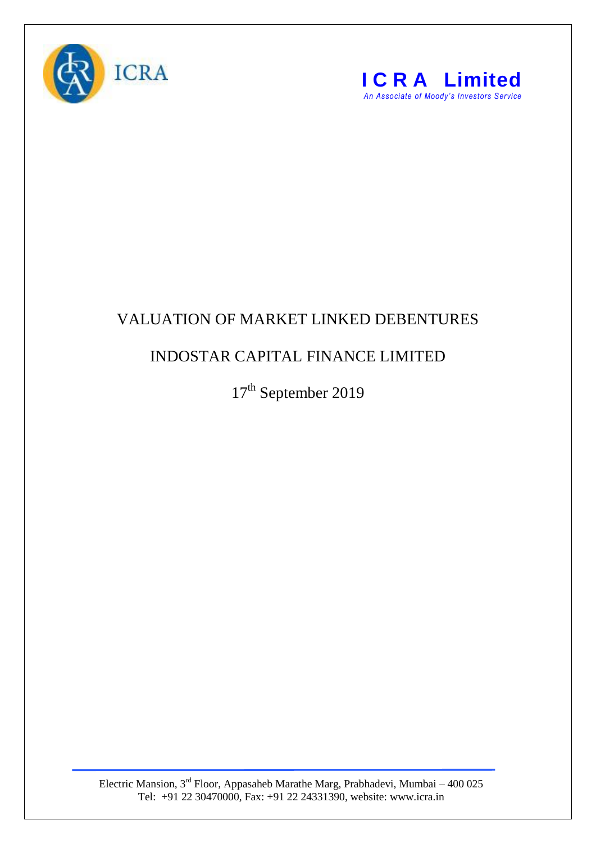



## VALUATION OF MARKET LINKED DEBENTURES

## INDOSTAR CAPITAL FINANCE LIMITED

17<sup>th</sup> September 2019